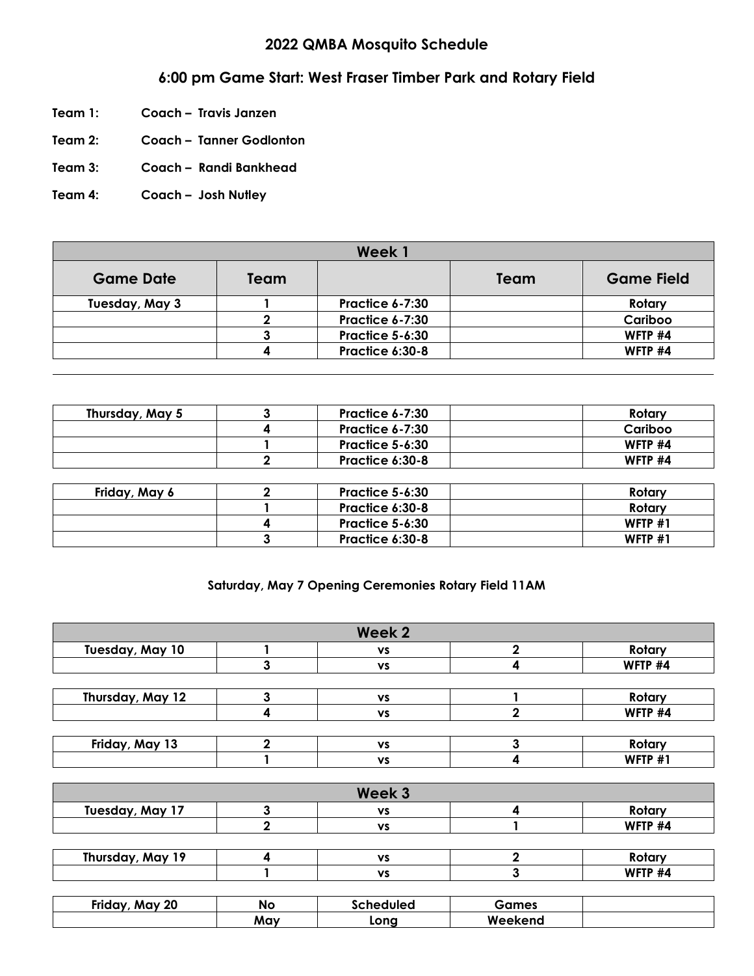## **2022 QMBA Mosquito Schedule**

## **6:00 pm Game Start: West Fraser Timber Park and Rotary Field**

- **Team 1: Coach – Travis Janzen**
- **Team 2: Coach – Tanner Godlonton**
- **Team 3: Coach – Randi Bankhead**
- **Team 4: Coach – Josh Nutley**

| Week 1           |      |                        |      |                   |
|------------------|------|------------------------|------|-------------------|
| <b>Game Date</b> | Team |                        | Team | <b>Game Field</b> |
| Tuesday, May 3   |      | Practice 6-7:30        |      | Rotary            |
|                  |      | <b>Practice 6-7:30</b> |      | Cariboo           |
|                  |      | <b>Practice 5-6:30</b> |      | WFTP #4           |
|                  |      | Practice 6:30-8        |      | WFTP #4           |

| Thursday, May 5 | <b>Practice 6-7:30</b> | Rotary    |
|-----------------|------------------------|-----------|
|                 | <b>Practice 6-7:30</b> | Cariboo   |
|                 | <b>Practice 5-6:30</b> | WFTP #4   |
|                 | Practice 6:30-8        | WFTP #4   |
|                 |                        |           |
| Friday, May 6   | Practice 5-6:30        | Rotary    |
|                 | Practice 6:30-8        | Rotary    |
|                 | <b>Practice 5-6:30</b> | WFTP $#1$ |
|                 | Practice 6:30-8        | WFTP #1   |

## **Saturday, May 7 Opening Ceremonies Rotary Field 11AM**

|                  | Week 2    |                |
|------------------|-----------|----------------|
| Tuesday, May 10  | <b>VS</b> | Rotary         |
|                  | <b>VS</b> | WFTP #4        |
|                  |           |                |
| Thursday, May 12 | <b>VS</b> | Rotary         |
|                  | <b>VS</b> | WFTP #4        |
|                  |           |                |
| Friday, May 13   | <b>VS</b> | Rotary         |
|                  | <b>VS</b> | <b>WFTP #1</b> |

|                  |     | Week 3 |         |
|------------------|-----|--------|---------|
| Tuesday, May 17  |     | vs     | Rotary  |
|                  |     | vs     | WFTP #4 |
| Thursday, May 19 |     | vs     | Rotary  |
|                  |     | vs     | WFTP #4 |
|                  |     |        |         |
|                  | . . | .      |         |

| <b>Friday</b><br><b>iy 20</b><br><b>MAV</b> | Nc  | irhad<br><b>Muleo</b> | ımes         |  |
|---------------------------------------------|-----|-----------------------|--------------|--|
|                                             | May | LONO                  | w.<br>eekena |  |